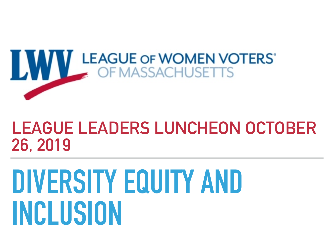

#### **LEAGUE LEADERS LUNCHEON OCTOBER 26, 2019**

## **DIVERSITY EQUITY AND INCLUSION**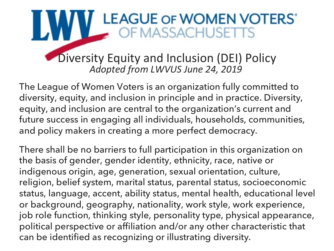# **WWW LEAGUE OF WOMEN VOTERS'**<br>OF MASSACHUSETTS

**Diversity Equity and Inclusion (DEI) Policy** Adopted from LWVUS June 24, 2019

The League of Women Voters is an organization fully committed to diversity, equity, and inclusion in principle and in practice. Diversity, equity, and inclusion are central to the organization's current and future success in engaging all individuals, households, communities, and policy makers in creating a more perfect democracy.

There shall be no barriers to full participation in this organization on the basis of gender, gender identity, ethnicity, race, native or indigenous origin, age, generation, sexual orientation, culture, religion, belief system, marital status, parental status, socioeconomic status, language, accent, ability status, mental health, educational level or background, geography, nationality, work style, work experience, job role function, thinking style, personality type, physical appearance, political perspective or affiliation and/or any other characteristic that can be identified as recognizing or illustrating diversity.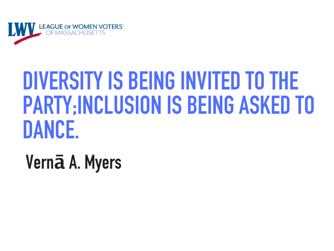

### DIVERSITY IS BEING INVITED TO THE **PARTY:INCLUSION IS BEING ASKED TO** DANCE.

Vernā A. Myers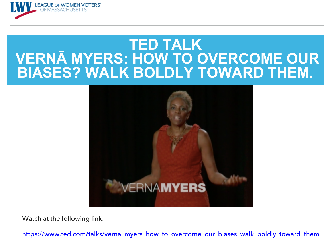

#### **TED TALK VERNĀ MYERS: HOW TO OVERCOME OUR BIASES? WALK BOLDLY TOWARD THEM.**



Watch at the following link:

https://www.ted.com/talks/verna\_myers\_how\_to\_overcome\_our\_biases\_walk\_boldly\_toward\_them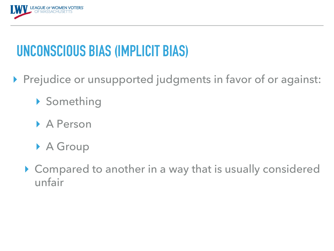

#### **UNCONSCIOUS BIAS (IMPLICIT BIAS)**

- ▸ Prejudice or unsupported judgments in favor of or against:
	- ▸ Something
	- ▸ A Person
	- ▶ A Group
	- ▸ Compared to another in a way that is usually considered unfair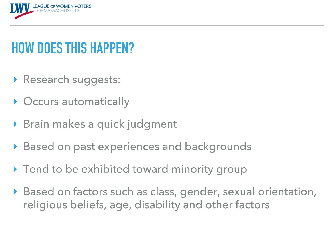

#### **HOW DOES THIS HAPPEN?**

- ▸ Research suggests:
- ▶ Occurs automatically
- ▶ Brain makes a quick judgment
- ▶ Based on past experiences and backgrounds
- ▸ Tend to be exhibited toward minority group
- Based on factors such as class, gender, sexual orientation, religious beliefs, age, disability and other factors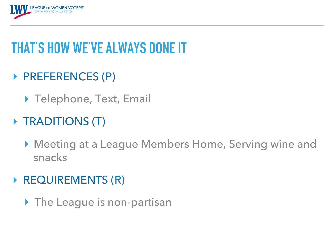

#### **THAT'S HOW WE'VE ALWAYS DONE IT**

- ▸ PREFERENCES (P)
	- ▶ Telephone, Text, Email
- ▶ TRADITIONS (T)
	- ▸ Meeting at a League Members Home, Serving wine and snacks
- ▶ REQUIREMENTS (R)
	- ▸ The League is non-partisan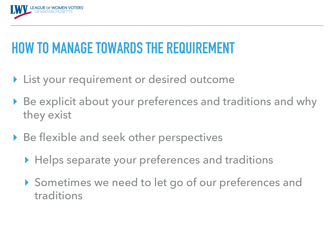

#### **HOW TO MANAGE TOWARDS THE REQUIREMENT**

- ▶ List your requirement or desired outcome
- ▶ Be explicit about your preferences and traditions and why they exist
- ▶ Be flexible and seek other perspectives
	- ▶ Helps separate your preferences and traditions
	- ▸ Sometimes we need to let go of our preferences and traditions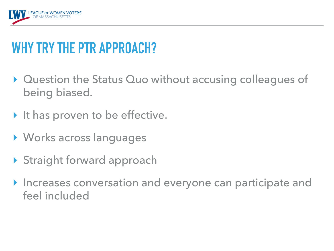

#### **WHY TRY THE PTR APPROACH?**

- ▸ Question the Status Quo without accusing colleagues of being biased.
- ▶ It has proven to be effective.
- ▸ Works across languages
- ▸ Straight forward approach
- ▶ Increases conversation and everyone can participate and feel included